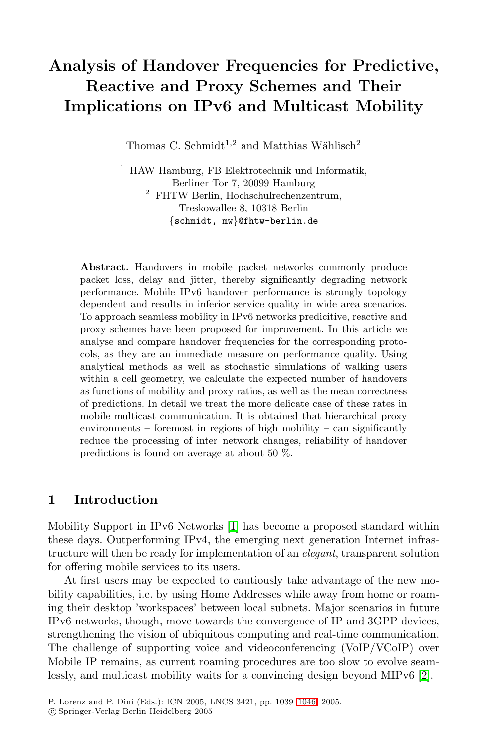# **Analysis of Handover Frequencies for Predictive, Reactive and Proxy Schemes and Their Implications on IPv6 and Multicast Mobility**

Thomas C. Schmidt<sup>1,2</sup> and Matthias Wählisch<sup>2</sup>

<sup>1</sup> HAW Hamburg, FB Elektrotechnik und Informatik, Berliner Tor 7, 20099 Hamburg  $^2$  FHTW Berlin, Hochschulrechenzentrum, Treskowallee 8, 10318 Berlin {schmidt, mw}@fhtw-berlin.de

**Abstract.** Handovers in mobile packet networks commonly produce packet loss, delay and jitter, thereby significantly degrading network performance. Mobile IPv6 handover performance is strongly topology dependent and results in inferior service quality in wide area scenarios. To approach seamless mobility in IPv6 networks predicitive, reactive and proxy schemes have been proposed for improvement. In this article we analyse and compare handover frequencies for the corresponding protocols, as they are an immediate measure on performance quality. Using analytical methods as well as stochastic simulations of walking users within a cell geometry, we calculate the expected number of handovers as functions of mobility and proxy ratios, as well as the mean correctness of predictions. In detail we treat the more delicate case of these rates in mobile multicast communication. It is obtained that hierarchical proxy environments – foremost in regions of high mobility – can significantly reduce the processing of inter–network changes, reliability of handover predictions is found on average at about 50 %.

## **1 Introduction**

Mobility Support in IPv6 Networks [\[1\]](#page-7-0) has become a proposed standard within these days. Outperforming IPv4, the emerging next generation Internet infrastructure will then be ready for implementation of an *elegant*, transparent solution for offering mobile services to its users.

At first users may be expected to cautiously take advantage of the new mobility capabilities, i.e. by using Home Addresses while away from home or roaming their desktop 'workspaces' between local subnets. Major scenarios in future IPv6 networks, though, move towards the convergence of IP and 3GPP devices, strengthening the vision of ubiquitous computing and real-time communication. The challenge of supporting voice and videoconferencing (VoIP/VCoIP) over Mobile IP remains, as current roaming procedures are too slow to evolve seamlessly, and multicast mobility waits for a convincing design beyond MIPv6 [\[2\]](#page-7-0).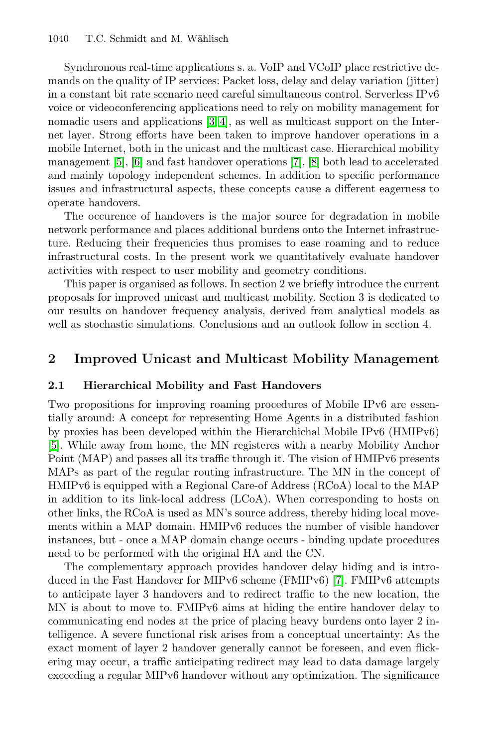Synchronous real-time applications s. a. VoIP and VCoIP place restrictive demands on the quality of IP services: Packet loss, delay and delay variation (jitter) in a constant bit rate scenario need careful simultaneous control. Serverless IPv6 voice or videoconferencing applications need to rely on mobility management for nomadic users and applications [\[3, 4\]](#page-7-0), as well as multicast support on the Internet layer. Strong efforts have been taken to improve handover operations in a mobile Internet, both in the unicast and the multicast case. Hierarchical mobility management [\[5\]](#page-7-0), [\[6\]](#page-7-0) and fast handover operations [\[7\]](#page-7-0), [\[8\]](#page-7-0) both lead to accelerated and mainly topology independent schemes. In addition to specific performance issues and infrastructural aspects, these concepts cause a different eagerness to operate handovers.

The occurence of handovers is the major source for degradation in mobile network performance and places additional burdens onto the Internet infrastructure. Reducing their frequencies thus promises to ease roaming and to reduce infrastructural costs. In the present work we quantitatively evaluate handover activities with respect to user mobility and geometry conditions.

This paper is organised as follows. In section 2 we briefly introduce the current proposals for improved unicast and multicast mobility. Section 3 is dedicated to our results on handover frequency analysis, derived from analytical models as well as stochastic simulations. Conclusions and an outlook follow in section 4.

#### **2 Improved Unicast and Multicast Mobility Management**

#### **2.1 Hierarchical Mobility and Fast Handovers**

Two propositions for improving roaming procedures of Mobile IPv6 are essentially around: A concept for representing Home Agents in a distributed fashion by proxies has been developed within the Hierarchichal Mobile IPv6 (HMIPv6) [\[5\]](#page-7-0). While away from home, the MN registeres with a nearby Mobility Anchor Point (MAP) and passes all its traffic through it. The vision of HMIPv6 presents MAPs as part of the regular routing infrastructure. The MN in the concept of HMIPv6 is equipped with a Regional Care-of Address (RCoA) local to the MAP in addition to its link-local address (LCoA). When corresponding to hosts on other links, the RCoA is used as MN's source address, thereby hiding local movements within a MAP domain. HMIPv6 reduces the number of visible handover instances, but - once a MAP domain change occurs - binding update procedures need to be performed with the original HA and the CN.

The complementary approach provides handover delay hiding and is introduced in the Fast Handover for MIPv6 scheme (FMIPv6) [\[7\]](#page-7-0). FMIPv6 attempts to anticipate layer 3 handovers and to redirect traffic to the new location, the MN is about to move to. FMIPv6 aims at hiding the entire handover delay to communicating end nodes at the price of placing heavy burdens onto layer 2 intelligence. A severe functional risk arises from a conceptual uncertainty: As the exact moment of layer 2 handover generally cannot be foreseen, and even flickering may occur, a traffic anticipating redirect may lead to data damage largely exceeding a regular MIPv6 handover without any optimization. The significance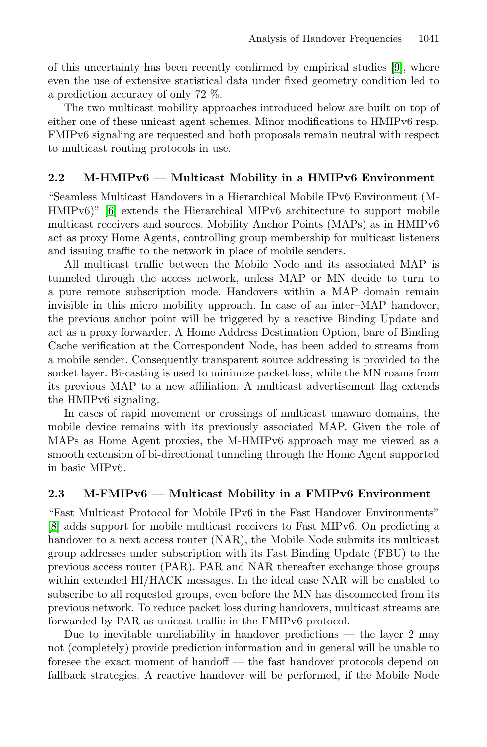of this uncertainty has been recently confirmed by empirical studies [\[9\]](#page-7-0), where even the use of extensive statistical data under fixed geometry condition led to a prediction accuracy of only 72 %.

The two multicast mobility approaches introduced below are built on top of either one of these unicast agent schemes. Minor modifications to HMIPv6 resp. FMIPv6 signaling are requested and both proposals remain neutral with respect to multicast routing protocols in use.

### **2.2 M-HMIPv6 — Multicast Mobility in a HMIPv6 Environment**

"Seamless Multicast Handovers in a Hierarchical Mobile IPv6 Environment (M-HMIPv6)" [\[6\]](#page-7-0) extends the Hierarchical MIPv6 architecture to support mobile multicast receivers and sources. Mobility Anchor Points (MAPs) as in HMIPv6 act as proxy Home Agents, controlling group membership for multicast listeners and issuing traffic to the network in place of mobile senders.

All multicast traffic between the Mobile Node and its associated MAP is tunneled through the access network, unless MAP or MN decide to turn to a pure remote subscription mode. Handovers within a MAP domain remain invisible in this micro mobility approach. In case of an inter–MAP handover, the previous anchor point will be triggered by a reactive Binding Update and act as a proxy forwarder. A Home Address Destination Option, bare of Binding Cache verification at the Correspondent Node, has been added to streams from a mobile sender. Consequently transparent source addressing is provided to the socket layer. Bi-casting is used to minimize packet loss, while the MN roams from its previous MAP to a new affiliation. A multicast advertisement flag extends the HMIPv6 signaling.

In cases of rapid movement or crossings of multicast unaware domains, the mobile device remains with its previously associated MAP. Given the role of MAPs as Home Agent proxies, the M-HMIPv6 approach may me viewed as a smooth extension of bi-directional tunneling through the Home Agent supported in basic MIPv6.

## **2.3 M-FMIPv6 — Multicast Mobility in a FMIPv6 Environment**

"Fast Multicast Protocol for Mobile IPv6 in the Fast Handover Environments" [\[8\]](#page-7-0) adds support for mobile multicast receivers to Fast MIPv6. On predicting a handover to a next access router (NAR), the Mobile Node submits its multicast group addresses under subscription with its Fast Binding Update (FBU) to the previous access router (PAR). PAR and NAR thereafter exchange those groups within extended HI/HACK messages. In the ideal case NAR will be enabled to subscribe to all requested groups, even before the MN has disconnected from its previous network. To reduce packet loss during handovers, multicast streams are forwarded by PAR as unicast traffic in the FMIPv6 protocol.

Due to inevitable unreliability in handover predictions — the layer 2 may not (completely) provide prediction information and in general will be unable to foresee the exact moment of handoff — the fast handover protocols depend on fallback strategies. A reactive handover will be performed, if the Mobile Node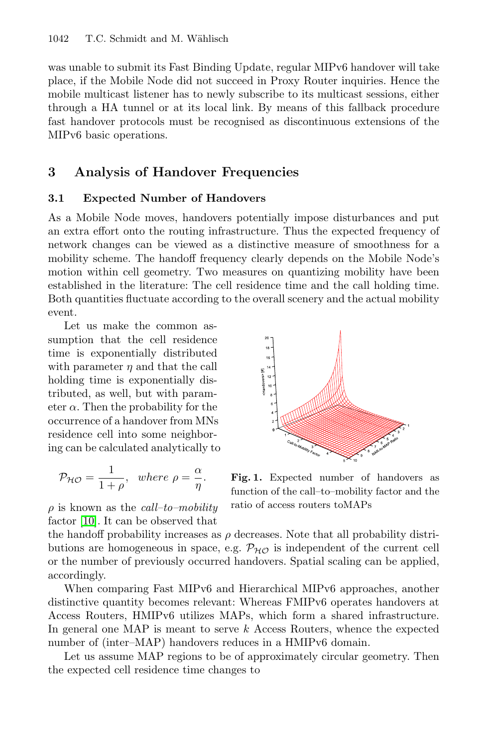<span id="page-3-0"></span>was unable to submit its Fast Binding Update, regular MIPv6 handover will take place, if the Mobile Node did not succeed in Proxy Router inquiries. Hence the mobile multicast listener has to newly subscribe to its multicast sessions, either through a HA tunnel or at its local link. By means of this fallback procedure fast handover protocols must be recognised as discontinuous extensions of the MIPv6 basic operations.

## **3 Analysis of Handover Frequencies**

#### **3.1 Expected Number of Handovers**

As a Mobile Node moves, handovers potentially impose disturbances and put an extra effort onto the routing infrastructure. Thus the expected frequency of network changes can be viewed as a distinctive measure of smoothness for a mobility scheme. The handoff frequency clearly depends on the Mobile Node's motion within cell geometry. Two measures on quantizing mobility have been established in the literature: The cell residence time and the call holding time. Both quantities fluctuate according to the overall scenery and the actual mobility event.

Let us make the common assumption that the cell residence time is exponentially distributed with parameter  $\eta$  and that the call holding time is exponentially distributed, as well, but with parameter  $\alpha$ . Then the probability for the occurrence of a handover from MNs residence cell into some neighboring can be calculated analytically to

$$
\mathcal{P}_{\mathcal{HO}} = \frac{1}{1+\rho}, \text{ where } \rho = \frac{\alpha}{\eta}.
$$

 $\rho$  is known as the *call–to–mobility* factor [\[10\]](#page-7-0). It can be observed that



**Fig. 1.** Expected number of handovers as function of the call–to–mobility factor and the ratio of access routers toMAPs

the handoff probability increases as  $\rho$  decreases. Note that all probability distributions are homogeneous in space, e.g.  $\mathcal{P}_{H\mathcal{O}}$  is independent of the current cell or the number of previously occurred handovers. Spatial scaling can be applied, accordingly.

When comparing Fast MIPv6 and Hierarchical MIPv6 approaches, another distinctive quantity becomes relevant: Whereas FMIPv6 operates handovers at Access Routers, HMIPv6 utilizes MAPs, which form a shared infrastructure. In general one MAP is meant to serve  $k$  Access Routers, whence the expected number of (inter–MAP) handovers reduces in a HMIPv6 domain.

Let us assume MAP regions to be of approximately circular geometry. Then the expected cell residence time changes to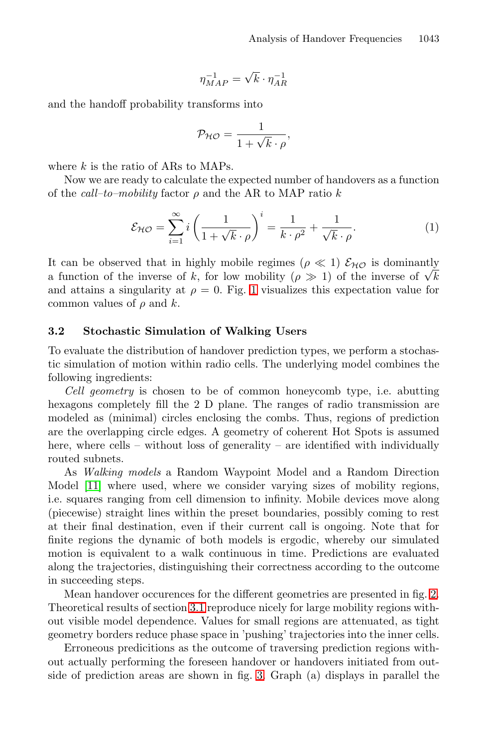$$
\eta_{MAP}^{-1}=\sqrt{k}\cdot\eta_{AR}^{-1}
$$

<span id="page-4-0"></span>and the handoff probability transforms into

$$
\mathcal{P}_{\mathcal{HO}} = \frac{1}{1 + \sqrt{k} \cdot \rho},
$$

where  $k$  is the ratio of ARs to MAPs.

Now we are ready to calculate the expected number of handovers as a function of the *call-to-mobility* factor  $\rho$  and the AR to MAP ratio k

$$
\mathcal{E}_{\mathcal{H}\mathcal{O}} = \sum_{i=1}^{\infty} i \left( \frac{1}{1 + \sqrt{k} \cdot \rho} \right)^i = \frac{1}{k \cdot \rho^2} + \frac{1}{\sqrt{k} \cdot \rho}.
$$
 (1)

It can be observed that in highly mobile regimes  $(\rho \ll 1)$   $\mathcal{E}_{H\mathcal{O}}$  is dominantly a function of the inverse of k, for low mobility ( $\rho \gg 1$ ) of the inverse of  $\sqrt{k}$ and attains a singularity at  $\rho = 0$ . Fig. [1](#page-3-0) visualizes this expectation value for common values of  $\rho$  and  $k$ .

#### **3.2 Stochastic Simulation of Walking Users**

To evaluate the distribution of handover prediction types, we perform a stochastic simulation of motion within radio cells. The underlying model combines the following ingredients:

*Cell geometry* is chosen to be of common honeycomb type, i.e. abutting hexagons completely fill the 2 D plane. The ranges of radio transmission are modeled as (minimal) circles enclosing the combs. Thus, regions of prediction are the overlapping circle edges. A geometry of coherent Hot Spots is assumed here, where cells – without loss of generality – are identified with individually routed subnets.

As *Walking models* a Random Waypoint Model and a Random Direction Model [\[11\]](#page-7-0) where used, where we consider varying sizes of mobility regions, i.e. squares ranging from cell dimension to infinity. Mobile devices move along (piecewise) straight lines within the preset boundaries, possibly coming to rest at their final destination, even if their current call is ongoing. Note that for finite regions the dynamic of both models is ergodic, whereby our simulated motion is equivalent to a walk continuous in time. Predictions are evaluated along the trajectories, distinguishing their correctness according to the outcome in succeeding steps.

Mean handover occurences for the different geometries are presented in fig. [2.](#page-5-0) Theoretical results of section [3.1](#page-3-0) reproduce nicely for large mobility regions without visible model dependence. Values for small regions are attenuated, as tight geometry borders reduce phase space in 'pushing' trajectories into the inner cells.

Erroneous predicitions as the outcome of traversing prediction regions without actually performing the foreseen handover or handovers initiated from outside of prediction areas are shown in fig. [3.](#page-6-0) Graph (a) displays in parallel the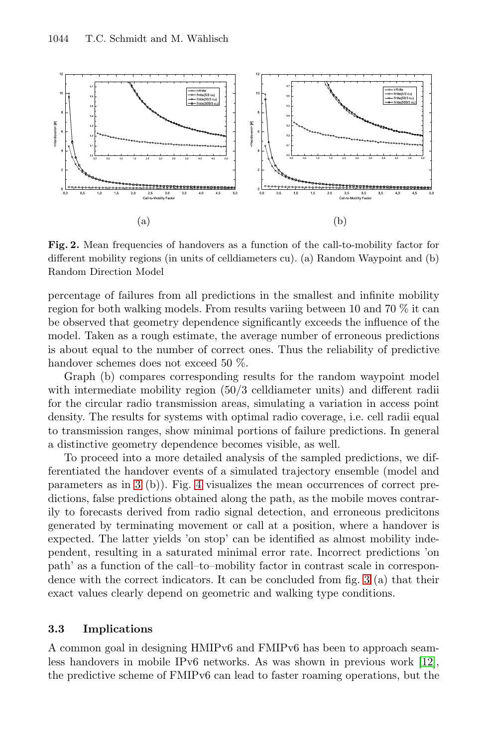<span id="page-5-0"></span>

**Fig. 2.** Mean frequencies of handovers as a function of the call-to-mobility factor for different mobility regions (in units of celldiameters cu). (a) Random Waypoint and (b) Random Direction Model

percentage of failures from all predictions in the smallest and infinite mobility region for both walking models. From results variing between 10 and 70 % it can be observed that geometry dependence significantly exceeds the influence of the model. Taken as a rough estimate, the average number of erroneous predictions is about equal to the number of correct ones. Thus the reliability of predictive handover schemes does not exceed 50 %.

Graph (b) compares corresponding results for the random waypoint model with intermediate mobility region  $(50/3$  celldiameter units) and different radii for the circular radio transmission areas, simulating a variation in access point density. The results for systems with optimal radio coverage, i.e. cell radii equal to transmission ranges, show minimal portions of failure predictions. In general a distinctive geometry dependence becomes visible, as well.

To proceed into a more detailed analysis of the sampled predictions, we differentiated the handover events of a simulated trajectory ensemble (model and parameters as in [3](#page-6-0) (b)). Fig. [4](#page-6-0) visualizes the mean occurrences of correct predictions, false predictions obtained along the path, as the mobile moves contrarily to forecasts derived from radio signal detection, and erroneous predicitons generated by terminating movement or call at a position, where a handover is expected. The latter yields 'on stop' can be identified as almost mobility independent, resulting in a saturated minimal error rate. Incorrect predictions 'on path' as a function of the call–to–mobility factor in contrast scale in correspondence with the correct indicators. It can be concluded from fig. [3](#page-6-0) (a) that their exact values clearly depend on geometric and walking type conditions.

#### **3.3 Implications**

A common goal in designing HMIPv6 and FMIPv6 has been to approach seamless handovers in mobile IPv6 networks. As was shown in previous work [\[12\]](#page-7-0), the predictive scheme of FMIPv6 can lead to faster roaming operations, but the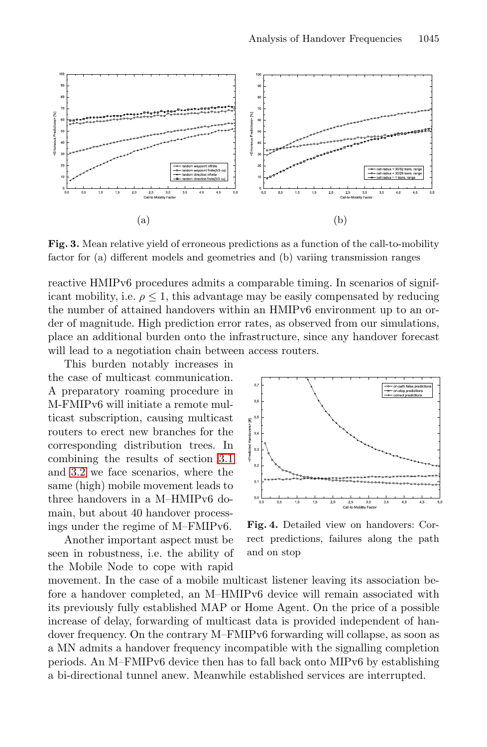<span id="page-6-0"></span>

**Fig. 3.** Mean relative yield of erroneous predictions as a function of the call-to-mobility factor for (a) different models and geometries and (b) variing transmission ranges

reactive HMIPv6 procedures admits a comparable timing. In scenarios of significant mobility, i.e.  $\rho \leq 1$ , this advantage may be easily compensated by reducing the number of attained handovers within an HMIPv6 environment up to an order of magnitude. High prediction error rates, as observed from our simulations, place an additional burden onto the infrastructure, since any handover forecast will lead to a negotiation chain between access routers.

This burden notably increases in the case of multicast communication. A preparatory roaming procedure in M-FMIPv6 will initiate a remote multicast subscription, causing multicast routers to erect new branches for the corresponding distribution trees. In combining the results of section [3.1](#page-3-0) and [3.2](#page-4-0) we face scenarios, where the same (high) mobile movement leads to three handovers in a M–HMIPv6 domain, but about 40 handover processings under the regime of M–FMIPv6.

Another important aspect must be seen in robustness, i.e. the ability of the Mobile Node to cope with rapid



**Fig. 4.** Detailed view on handovers: Correct predictions, failures along the path and on stop

movement. In the case of a mobile multicast listener leaving its association before a handover completed, an M–HMIPv6 device will remain associated with its previously fully established MAP or Home Agent. On the price of a possible increase of delay, forwarding of multicast data is provided independent of handover frequency. On the contrary M–FMIPv6 forwarding will collapse, as soon as a MN admits a handover frequency incompatible with the signalling completion periods. An M–FMIPv6 device then has to fall back onto MIPv6 by establishing a bi-directional tunnel anew. Meanwhile established services are interrupted.